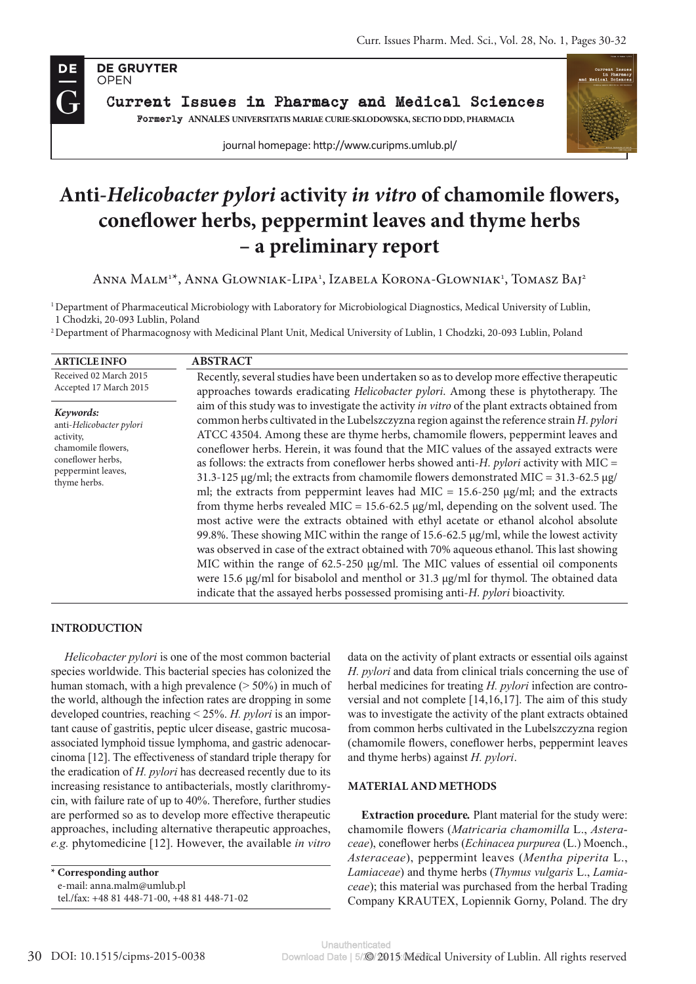

Current Issues in Pharmacy and Medical Sciences Formerly **ANNALES UNIVERSITATIS MARIAE CURIE-SKLODOWSKA, SECTIO DDD, PHARMACIA**

journal homepage: http://www.curipms.umlub.pl/



# **Anti-***Helicobacter pylori* **activity** *in vitro* **of chamomile flowers, coneflower herbs, peppermint leaves and thyme herbs – a preliminary report**

Anna Malm<sup>1x</sup>, Anna Glowniak-Lipa<sup>1</sup>, Izabela Korona-Glowniak<sup>1</sup>, Tomasz Baj<sup>2</sup>

1 Department of Pharmaceutical Microbiology with Laboratory for Microbiological Diagnostics, Medical University of Lublin, 1 Chodzki, 20-093 Lublin, Poland

2 Department of Pharmacognosy with Medicinal Plant Unit, Medical University of Lublin, 1 Chodzki, 20-093 Lublin, Poland

| <b>ARTICLE INFO</b>                                                                                                                 | <b>ABSTRACT</b>                                                                                                                                                                                                                                                                                                                                                                                                                                                                                                                                                                                                                                                                                                                                                                                                                                                                                                                                                                                                                                                                                                                                                                                                                                                                                                                                 |  |  |  |
|-------------------------------------------------------------------------------------------------------------------------------------|-------------------------------------------------------------------------------------------------------------------------------------------------------------------------------------------------------------------------------------------------------------------------------------------------------------------------------------------------------------------------------------------------------------------------------------------------------------------------------------------------------------------------------------------------------------------------------------------------------------------------------------------------------------------------------------------------------------------------------------------------------------------------------------------------------------------------------------------------------------------------------------------------------------------------------------------------------------------------------------------------------------------------------------------------------------------------------------------------------------------------------------------------------------------------------------------------------------------------------------------------------------------------------------------------------------------------------------------------|--|--|--|
| Received 02 March 2015<br>Accepted 17 March 2015                                                                                    | Recently, several studies have been undertaken so as to develop more effective therapeutic<br>approaches towards eradicating Helicobacter pylori. Among these is phytotherapy. The                                                                                                                                                                                                                                                                                                                                                                                                                                                                                                                                                                                                                                                                                                                                                                                                                                                                                                                                                                                                                                                                                                                                                              |  |  |  |
| Keywords:<br>anti-Helicobacter pylori<br>activity,<br>chamomile flowers,<br>coneflower herbs,<br>peppermint leaves,<br>thyme herbs. | aim of this study was to investigate the activity in vitro of the plant extracts obtained from<br>common herbs cultivated in the Lubelszczyzna region against the reference strain H. pylori<br>ATCC 43504. Among these are thyme herbs, chamomile flowers, peppermint leaves and<br>coneflower herbs. Herein, it was found that the MIC values of the assayed extracts were<br>as follows: the extracts from coneflower herbs showed anti- $H$ . pylori activity with MIC =<br>$31.3-125 \mu g/ml$ ; the extracts from chamomile flowers demonstrated MIC = $31.3-62.5 \mu g/ml$<br>ml; the extracts from peppermint leaves had MIC = $15.6-250$ µg/ml; and the extracts<br>from thyme herbs revealed MIC = 15.6-62.5 $\mu$ g/ml, depending on the solvent used. The<br>most active were the extracts obtained with ethyl acetate or ethanol alcohol absolute<br>99.8%. These showing MIC within the range of 15.6-62.5 µg/ml, while the lowest activity<br>was observed in case of the extract obtained with 70% aqueous ethanol. This last showing<br>MIC within the range of $62.5{\text -}250 \mu g/ml$ . The MIC values of essential oil components<br>were 15.6 $\mu$ g/ml for bisabolol and menthol or 31.3 $\mu$ g/ml for thymol. The obtained data<br>indicate that the assayed herbs possessed promising anti-H. pylori bioactivity. |  |  |  |

## **INTRODUCTION**

*Helicobacter pylori* is one of the most common bacterial species worldwide. This bacterial species has colonized the human stomach, with a high prevalence  $($  > 50%) in much of the world, although the infection rates are dropping in some developed countries, reaching < 25%. *H. pylori* is an important cause of gastritis, peptic ulcer disease, gastric mucosaassociated lymphoid tissue lymphoma, and gastric adenocarcinoma [12]. The effectiveness of standard triple therapy for the eradication of *H. pylori* has decreased recently due to its increasing resistance to antibacterials, mostly clarithromycin, with failure rate of up to 40%. Therefore, further studies are performed so as to develop more effective therapeutic approaches, including alternative therapeutic approaches, *e.g.* phytomedicine [12]. However, the available *in vitro*

**\* Corresponding author**  e-mail: anna.malm@umlub.pl tel./fax: +48 81 448-71-00, +48 81 448-71-02 data on the activity of plant extracts or essential oils against *H. pylori* and data from clinical trials concerning the use of herbal medicines for treating *H. pylori* infection are controversial and not complete [14,16,17]. The aim of this study was to investigate the activity of the plant extracts obtained from common herbs cultivated in the Lubelszczyzna region (chamomile flowers, coneflower herbs, peppermint leaves and thyme herbs) against *H. pylori*.

#### **MATERIAL AND METHODS**

**Extraction procedure***.* Plant material for the study were: chamomile flowers (*Matricaria chamomilla* L., *Asteraceae*), coneflower herbs (*Echinacea purpurea* (L.) Moench., *Asteraceae*), peppermint leaves (*Mentha piperita* L., *Lamiaceae*) and thyme herbs (*Thymus vulgaris* L., *Lamiaceae*); this material was purchased from the herbal Trading Company KRAUTEX, Lopiennik Gorny, Poland. The dry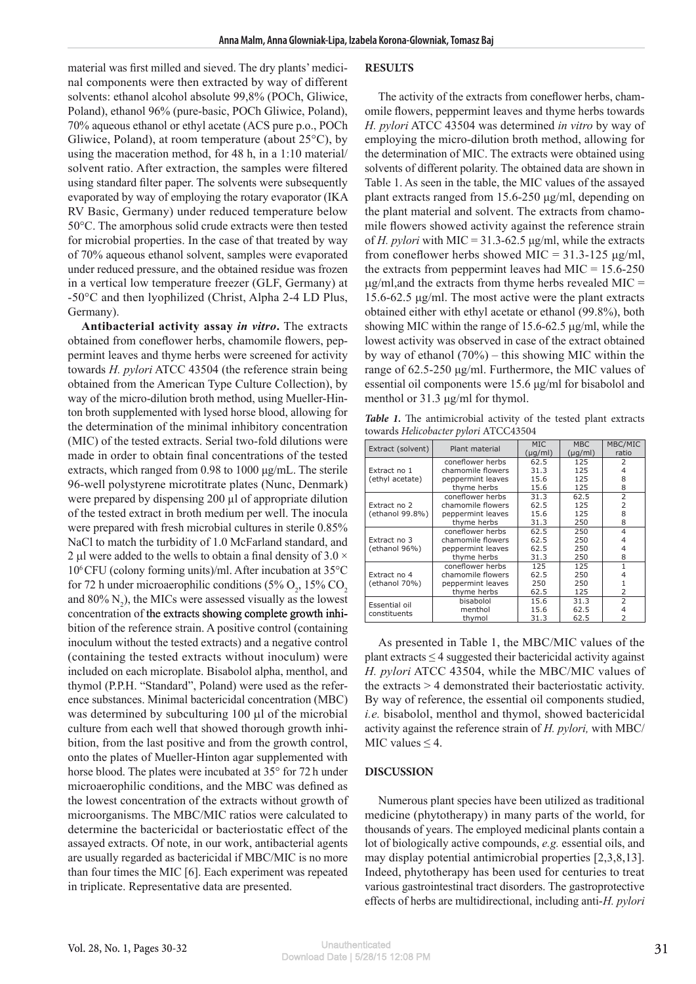material was first milled and sieved. The dry plants' medicinal components were then extracted by way of different solvents: ethanol alcohol absolute 99,8% (POCh, Gliwice, Poland), ethanol 96% (pure-basic, POCh Gliwice, Poland), 70% aqueous ethanol or ethyl acetate (ACS pure p.o., POCh Gliwice, Poland), at room temperature (about 25°C), by using the maceration method, for 48 h, in a 1:10 material/ solvent ratio. After extraction, the samples were filtered using standard filter paper. The solvents were subsequently evaporated by way of employing the rotary evaporator (IKA RV Basic, Germany) under reduced temperature below 50°C. The amorphous solid crude extracts were then tested for microbial properties. In the case of that treated by way of 70% aqueous ethanol solvent, samples were evaporated under reduced pressure, and the obtained residue was frozen in a vertical low temperature freezer (GLF, Germany) at -50°C and then lyophilized (Christ, Alpha 2-4 LD Plus, Germany).

**Antibacterial activity assay** *in vitro***.** The extracts obtained from coneflower herbs, chamomile flowers, peppermint leaves and thyme herbs were screened for activity towards *H. pylori* ATCC 43504 (the reference strain being obtained from the American Type Culture Collection), by way of the micro-dilution broth method, using Mueller-Hinton broth supplemented with lysed horse blood, allowing for the determination of the minimal inhibitory concentration (MIC) of the tested extracts. Serial two-fold dilutions were made in order to obtain final concentrations of the tested extracts, which ranged from 0.98 to 1000 μg/mL. The sterile 96-well polystyrene microtitrate plates (Nunc, Denmark) were prepared by dispensing 200 µl of appropriate dilution of the tested extract in broth medium per well. The inocula were prepared with fresh microbial cultures in sterile 0.85% NaCl to match the turbidity of 1.0 McFarland standard, and 2 µl were added to the wells to obtain a final density of  $3.0 \times$ 106 CFU (colony forming units)/ml. After incubation at 35°C for 72 h under microaerophilic conditions (5%  $O_2$ , 15%  $CO_2$ and  $80\% \text{ N}_2$ ), the MICs were assessed visually as the lowest concentration of the extracts showing complete growth inhibition of the reference strain. A positive control (containing inoculum without the tested extracts) and a negative control (containing the tested extracts without inoculum) were included on each microplate. Bisabolol alpha, menthol, and thymol (P.P.H. "Standard", Poland) were used as the reference substances. Minimal bactericidal concentration (MBC) was determined by subculturing  $100 \mu l$  of the microbial culture from each well that showed thorough growth inhibition, from the last positive and from the growth control, onto the plates of Mueller-Hinton agar supplemented with horse blood. The plates were incubated at 35° for 72 h under microaerophilic conditions, and the MBC was defined as the lowest concentration of the extracts without growth of microorganisms. The MBC/MIC ratios were calculated to determine the bactericidal or bacteriostatic effect of the assayed extracts. Of note, in our work, antibacterial agents are usually regarded as bactericidal if MBC/MIC is no more than four times the MIC [6]. Each experiment was repeated in triplicate. Representative data are presented.

#### **RESULTS**

The activity of the extracts from coneflower herbs, chamomile flowers, peppermint leaves and thyme herbs towards *H. pylori* ATCC 43504 was determined *in vitro* by way of employing the micro-dilution broth method, allowing for the determination of MIC. The extracts were obtained using solvents of different polarity. The obtained data are shown in Table 1. As seen in the table, the MIC values of the assayed plant extracts ranged from 15.6-250 μg/ml, depending on the plant material and solvent. The extracts from chamomile flowers showed activity against the reference strain of *H. pylori* with MIC =  $31.3-62.5$   $\mu$ g/ml, while the extracts from coneflower herbs showed MIC =  $31.3\n-125 \mu g/ml$ , the extracts from peppermint leaves had MIC =  $15.6 - 250$  $\mu$ g/ml,and the extracts from thyme herbs revealed MIC = 15.6-62.5 μg/ml. The most active were the plant extracts obtained either with ethyl acetate or ethanol (99.8%), both showing MIC within the range of  $15.6-62.5$   $\mu$ g/ml, while the lowest activity was observed in case of the extract obtained by way of ethanol (70%) – this showing MIC within the range of 62.5-250 μg/ml. Furthermore, the MIC values of essential oil components were 15.6 μg/ml for bisabolol and menthol or 31.3 μg/ml for thymol.

Table 1. The antimicrobial activity of the tested plant extracts towards *Helicobacter pylori* ATCC43504

| Extract (solvent)               | Plant material    | MIC.<br>$(\mu g/ml)$ | <b>MBC</b><br>$(\mu g/ml)$ | MBC/MIC<br>ratio         |
|---------------------------------|-------------------|----------------------|----------------------------|--------------------------|
| Extract no 1<br>(ethyl acetate) | coneflower herbs  | 62.5                 | 125                        | 2                        |
|                                 | chamomile flowers | 31.3                 | 125                        | 4                        |
|                                 | peppermint leaves | 15.6                 | 125                        | 8                        |
|                                 | thyme herbs       | 15.6                 | 125                        | 8                        |
| Extract no 2<br>(ethanol 99.8%) | coneflower herbs  | 31.3                 | 62.5                       | $\overline{2}$           |
|                                 | chamomile flowers | 62.5                 | 125                        | 2                        |
|                                 | peppermint leaves | 15.6                 | 125                        | 8                        |
|                                 | thyme herbs       | 31.3                 | 250                        | 8                        |
| Extract no 3<br>(ethanol 96%)   | coneflower herbs  | 62.5                 | 250                        | $\overline{4}$           |
|                                 | chamomile flowers | 62.5                 | 250                        | 4                        |
|                                 | peppermint leaves | 62.5                 | 250                        | 4                        |
|                                 | thyme herbs       | 31.3                 | 250                        | 8                        |
| Extract no 4<br>(ethanol 70%)   | coneflower herbs  | 125                  | 125                        | 1                        |
|                                 | chamomile flowers | 62.5                 | 250                        |                          |
|                                 | peppermint leaves | 250                  | 250                        | 1                        |
|                                 | thyme herbs       | 62.5                 | 125                        | $\overline{2}$           |
| Essential oil<br>constituents   | bisabolol         | 15.6                 | 31.3                       | $\overline{2}$           |
|                                 | menthol           | 15.6                 | 62.5                       | 4                        |
|                                 | thymol            | 31.3                 | 62.5                       | $\overline{\phantom{a}}$ |

As presented in Table 1, the MBC/MIC values of the plant extracts  $\leq$  4 suggested their bactericidal activity against *H. pylori* ATCC 43504, while the MBC/MIC values of the extracts > 4 demonstrated their bacteriostatic activity. By way of reference, the essential oil components studied, *i.e.* bisabolol, menthol and thymol, showed bactericidal activity against the reference strain of *H. pylori,* with MBC/ MIC values  $\leq$  4.

### **DISCUSSION**

Numerous plant species have been utilized as traditional medicine (phytotherapy) in many parts of the world, for thousands of years. The employed medicinal plants contain a lot of biologically active compounds, *e.g.* essential oils, and may display potential antimicrobial properties [2,3,8,13]. Indeed, phytotherapy has been used for centuries to treat various gastrointestinal tract disorders. The gastroprotective effects of herbs are multidirectional, including anti-*H. pylori*